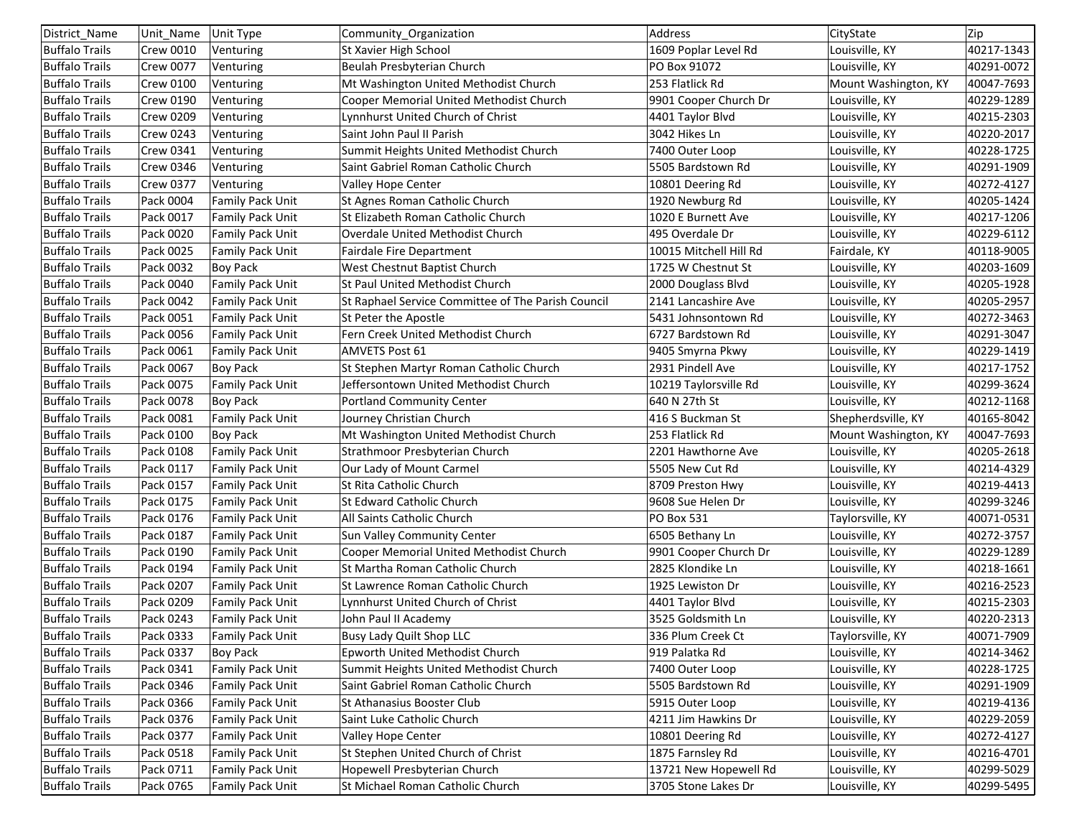| District_Name         | Unit Name        | Unit Type               | Community_Organization                             | Address                | CityState            | Zip        |
|-----------------------|------------------|-------------------------|----------------------------------------------------|------------------------|----------------------|------------|
| <b>Buffalo Trails</b> | <b>Crew 0010</b> | Venturing               | St Xavier High School                              | 1609 Poplar Level Rd   | Louisville, KY       | 40217-1343 |
| <b>Buffalo Trails</b> | <b>Crew 0077</b> | Venturing               | Beulah Presbyterian Church                         | PO Box 91072           | Louisville, KY       | 40291-0072 |
| <b>Buffalo Trails</b> | <b>Crew 0100</b> | Venturing               | Mt Washington United Methodist Church              | 253 Flatlick Rd        | Mount Washington, KY | 40047-7693 |
| <b>Buffalo Trails</b> | <b>Crew 0190</b> | Venturing               | Cooper Memorial United Methodist Church            | 9901 Cooper Church Dr  | Louisville, KY       | 40229-1289 |
| <b>Buffalo Trails</b> | <b>Crew 0209</b> | Venturing               | Lynnhurst United Church of Christ                  | 4401 Taylor Blvd       | Louisville, KY       | 40215-2303 |
| <b>Buffalo Trails</b> | <b>Crew 0243</b> | Venturing               | Saint John Paul II Parish                          | 3042 Hikes Ln          | Louisville, KY       | 40220-2017 |
| <b>Buffalo Trails</b> | <b>Crew 0341</b> | Venturing               | Summit Heights United Methodist Church             | 7400 Outer Loop        | Louisville, KY       | 40228-1725 |
| <b>Buffalo Trails</b> | <b>Crew 0346</b> | Venturing               | Saint Gabriel Roman Catholic Church                | 5505 Bardstown Rd      | Louisville, KY       | 40291-1909 |
| <b>Buffalo Trails</b> | <b>Crew 0377</b> | Venturing               | Valley Hope Center                                 | 10801 Deering Rd       | Louisville, KY       | 40272-4127 |
| <b>Buffalo Trails</b> | Pack 0004        | <b>Family Pack Unit</b> | St Agnes Roman Catholic Church                     | 1920 Newburg Rd        | Louisville, KY       | 40205-1424 |
| <b>Buffalo Trails</b> | Pack 0017        | Family Pack Unit        | St Elizabeth Roman Catholic Church                 | 1020 E Burnett Ave     | Louisville, KY       | 40217-1206 |
| <b>Buffalo Trails</b> | Pack 0020        | <b>Family Pack Unit</b> | Overdale United Methodist Church                   | 495 Overdale Dr        | Louisville, KY       | 40229-6112 |
| <b>Buffalo Trails</b> | Pack 0025        | <b>Family Pack Unit</b> | <b>Fairdale Fire Department</b>                    | 10015 Mitchell Hill Rd | Fairdale, KY         | 40118-9005 |
| <b>Buffalo Trails</b> | Pack 0032        | <b>Boy Pack</b>         | West Chestnut Baptist Church                       | 1725 W Chestnut St     | Louisville, KY       | 40203-1609 |
| <b>Buffalo Trails</b> | Pack 0040        | <b>Family Pack Unit</b> | St Paul United Methodist Church                    | 2000 Douglass Blvd     | Louisville, KY       | 40205-1928 |
| <b>Buffalo Trails</b> | Pack 0042        | <b>Family Pack Unit</b> | St Raphael Service Committee of The Parish Council | 2141 Lancashire Ave    | Louisville, KY       | 40205-2957 |
| <b>Buffalo Trails</b> | Pack 0051        | Family Pack Unit        | St Peter the Apostle                               | 5431 Johnsontown Rd    | Louisville, KY       | 40272-3463 |
| <b>Buffalo Trails</b> | Pack 0056        | <b>Family Pack Unit</b> | Fern Creek United Methodist Church                 | 6727 Bardstown Rd      | Louisville, KY       | 40291-3047 |
| <b>Buffalo Trails</b> | Pack 0061        | <b>Family Pack Unit</b> | <b>AMVETS Post 61</b>                              | 9405 Smyrna Pkwy       | Louisville, KY       | 40229-1419 |
| <b>Buffalo Trails</b> | Pack 0067        | <b>Boy Pack</b>         | St Stephen Martyr Roman Catholic Church            | 2931 Pindell Ave       | Louisville, KY       | 40217-1752 |
| <b>Buffalo Trails</b> | Pack 0075        | <b>Family Pack Unit</b> | Jeffersontown United Methodist Church              | 10219 Taylorsville Rd  | Louisville, KY       | 40299-3624 |
| <b>Buffalo Trails</b> | Pack 0078        | <b>Boy Pack</b>         | <b>Portland Community Center</b>                   | 640 N 27th St          | Louisville, KY       | 40212-1168 |
| <b>Buffalo Trails</b> | Pack 0081        | <b>Family Pack Unit</b> | Journey Christian Church                           | 416 S Buckman St       | Shepherdsville, KY   | 40165-8042 |
| <b>Buffalo Trails</b> | Pack 0100        | <b>Boy Pack</b>         | Mt Washington United Methodist Church              | 253 Flatlick Rd        | Mount Washington, KY | 40047-7693 |
| <b>Buffalo Trails</b> | Pack 0108        | <b>Family Pack Unit</b> | Strathmoor Presbyterian Church                     | 2201 Hawthorne Ave     | Louisville, KY       | 40205-2618 |
| <b>Buffalo Trails</b> | Pack 0117        | <b>Family Pack Unit</b> | Our Lady of Mount Carmel                           | 5505 New Cut Rd        | Louisville, KY       | 40214-4329 |
| <b>Buffalo Trails</b> | Pack 0157        | <b>Family Pack Unit</b> | St Rita Catholic Church                            | 8709 Preston Hwy       | Louisville, KY       | 40219-4413 |
| <b>Buffalo Trails</b> | Pack 0175        | <b>Family Pack Unit</b> | St Edward Catholic Church                          | 9608 Sue Helen Dr      | Louisville, KY       | 40299-3246 |
| <b>Buffalo Trails</b> | Pack 0176        | <b>Family Pack Unit</b> | All Saints Catholic Church                         | PO Box 531             |                      | 40071-0531 |
|                       | Pack 0187        |                         | <b>Sun Valley Community Center</b>                 | 6505 Bethany Ln        | Taylorsville, KY     |            |
| <b>Buffalo Trails</b> | Pack 0190        | <b>Family Pack Unit</b> |                                                    |                        | Louisville, KY       | 40272-3757 |
| <b>Buffalo Trails</b> |                  | <b>Family Pack Unit</b> | Cooper Memorial United Methodist Church            | 9901 Cooper Church Dr  | Louisville, KY       | 40229-1289 |
| <b>Buffalo Trails</b> | Pack 0194        | <b>Family Pack Unit</b> | St Martha Roman Catholic Church                    | 2825 Klondike Ln       | Louisville, KY       | 40218-1661 |
| <b>Buffalo Trails</b> | Pack 0207        | <b>Family Pack Unit</b> | St Lawrence Roman Catholic Church                  | 1925 Lewiston Dr       | Louisville, KY       | 40216-2523 |
| <b>Buffalo Trails</b> | Pack 0209        | <b>Family Pack Unit</b> | Lynnhurst United Church of Christ                  | 4401 Taylor Blvd       | Louisville, KY       | 40215-2303 |
| <b>Buffalo Trails</b> | Pack 0243        | <b>Family Pack Unit</b> | John Paul II Academy                               | 3525 Goldsmith Ln      | Louisville, KY       | 40220-2313 |
| <b>Buffalo Trails</b> | Pack 0333        | Family Pack Unit        | <b>Busy Lady Quilt Shop LLC</b>                    | 336 Plum Creek Ct      | Taylorsville, KY     | 40071-7909 |
| <b>Buffalo Trails</b> | Pack 0337        | <b>Boy Pack</b>         | Epworth United Methodist Church                    | 919 Palatka Rd         | Louisville, KY       | 40214-3462 |
| <b>Buffalo Trails</b> | Pack 0341        | <b>Family Pack Unit</b> | Summit Heights United Methodist Church             | 7400 Outer Loop        | Louisville, KY       | 40228-1725 |
| <b>Buffalo Trails</b> | Pack 0346        | <b>Family Pack Unit</b> | Saint Gabriel Roman Catholic Church                | 5505 Bardstown Rd      | Louisville, KY       | 40291-1909 |
| <b>Buffalo Trails</b> | Pack 0366        | <b>Family Pack Unit</b> | St Athanasius Booster Club                         | 5915 Outer Loop        | Louisville, KY       | 40219-4136 |
| <b>Buffalo Trails</b> | Pack 0376        | <b>Family Pack Unit</b> | Saint Luke Catholic Church                         | 4211 Jim Hawkins Dr    | Louisville, KY       | 40229-2059 |
| <b>Buffalo Trails</b> | Pack 0377        | <b>Family Pack Unit</b> | Valley Hope Center                                 | 10801 Deering Rd       | Louisville, KY       | 40272-4127 |
| <b>Buffalo Trails</b> | Pack 0518        | <b>Family Pack Unit</b> | St Stephen United Church of Christ                 | 1875 Farnsley Rd       | Louisville, KY       | 40216-4701 |
| <b>Buffalo Trails</b> | Pack 0711        | Family Pack Unit        | Hopewell Presbyterian Church                       | 13721 New Hopewell Rd  | Louisville, KY       | 40299-5029 |
| <b>Buffalo Trails</b> | Pack 0765        | <b>Family Pack Unit</b> | St Michael Roman Catholic Church                   | 3705 Stone Lakes Dr    | Louisville, KY       | 40299-5495 |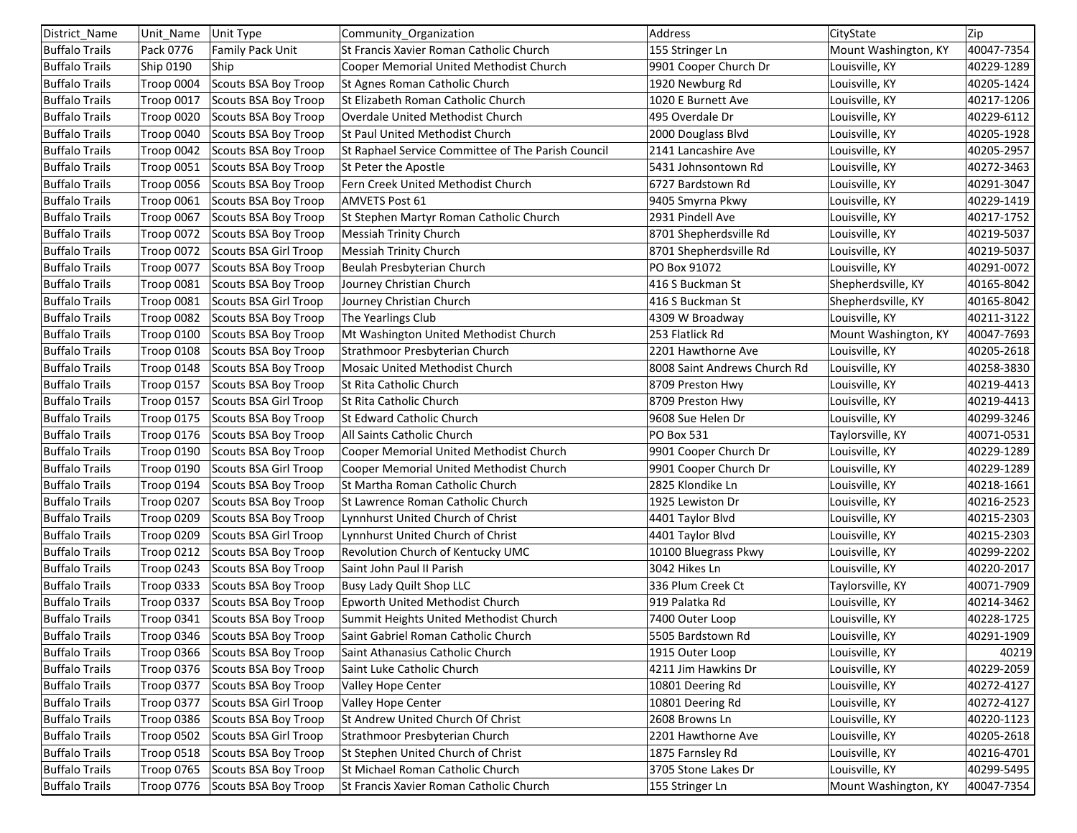| District_Name         | Unit Name         | Unit Type                       | Community_Organization                             | Address                      | CityState            | Zip        |
|-----------------------|-------------------|---------------------------------|----------------------------------------------------|------------------------------|----------------------|------------|
| <b>Buffalo Trails</b> | Pack 0776         | <b>Family Pack Unit</b>         | St Francis Xavier Roman Catholic Church            | 155 Stringer Ln              | Mount Washington, KY | 40047-7354 |
| <b>Buffalo Trails</b> | <b>Ship 0190</b>  | Ship                            | Cooper Memorial United Methodist Church            | 9901 Cooper Church Dr        | Louisville, KY       | 40229-1289 |
| <b>Buffalo Trails</b> | Troop 0004        | Scouts BSA Boy Troop            | St Agnes Roman Catholic Church                     | 1920 Newburg Rd              | Louisville, KY       | 40205-1424 |
| <b>Buffalo Trails</b> | Troop 0017        | Scouts BSA Boy Troop            | St Elizabeth Roman Catholic Church                 | 1020 E Burnett Ave           | Louisville, KY       | 40217-1206 |
| <b>Buffalo Trails</b> | Troop 0020        | Scouts BSA Boy Troop            | Overdale United Methodist Church                   | 495 Overdale Dr              | Louisville, KY       | 40229-6112 |
| <b>Buffalo Trails</b> | Troop 0040        | Scouts BSA Boy Troop            | St Paul United Methodist Church                    | 2000 Douglass Blvd           | Louisville, KY       | 40205-1928 |
| <b>Buffalo Trails</b> | Troop 0042        | Scouts BSA Boy Troop            | St Raphael Service Committee of The Parish Council | 2141 Lancashire Ave          | Louisville, KY       | 40205-2957 |
| <b>Buffalo Trails</b> | Troop 0051        | Scouts BSA Boy Troop            | St Peter the Apostle                               | 5431 Johnsontown Rd          | Louisville, KY       | 40272-3463 |
| <b>Buffalo Trails</b> | <b>Troop 0056</b> | Scouts BSA Boy Troop            | Fern Creek United Methodist Church                 | 6727 Bardstown Rd            | Louisville, KY       | 40291-3047 |
| <b>Buffalo Trails</b> | <b>Troop 0061</b> | Scouts BSA Boy Troop            | <b>AMVETS Post 61</b>                              | 9405 Smyrna Pkwy             | Louisville, KY       | 40229-1419 |
| <b>Buffalo Trails</b> | Troop 0067        | Scouts BSA Boy Troop            | St Stephen Martyr Roman Catholic Church            | 2931 Pindell Ave             | Louisville, KY       | 40217-1752 |
| <b>Buffalo Trails</b> | <b>Troop 0072</b> | Scouts BSA Boy Troop            | <b>Messiah Trinity Church</b>                      | 8701 Shepherdsville Rd       | Louisville, KY       | 40219-5037 |
| <b>Buffalo Trails</b> | <b>Troop 0072</b> | Scouts BSA Girl Troop           | <b>Messiah Trinity Church</b>                      | 8701 Shepherdsville Rd       | Louisville, KY       | 40219-5037 |
| <b>Buffalo Trails</b> | Troop 0077        | Scouts BSA Boy Troop            | Beulah Presbyterian Church                         | PO Box 91072                 | Louisville, KY       | 40291-0072 |
| <b>Buffalo Trails</b> | Troop 0081        | Scouts BSA Boy Troop            | Journey Christian Church                           | 416 S Buckman St             | Shepherdsville, KY   | 40165-8042 |
| <b>Buffalo Trails</b> | <b>Troop 0081</b> | Scouts BSA Girl Troop           | Journey Christian Church                           | 416 S Buckman St             | Shepherdsville, KY   | 40165-8042 |
| <b>Buffalo Trails</b> | Troop 0082        | Scouts BSA Boy Troop            | The Yearlings Club                                 | 4309 W Broadway              | Louisville, KY       | 40211-3122 |
| <b>Buffalo Trails</b> | Troop 0100        | Scouts BSA Boy Troop            | Mt Washington United Methodist Church              | 253 Flatlick Rd              | Mount Washington, KY | 40047-7693 |
| <b>Buffalo Trails</b> | Troop 0108        | Scouts BSA Boy Troop            | Strathmoor Presbyterian Church                     | 2201 Hawthorne Ave           | Louisville, KY       | 40205-2618 |
| <b>Buffalo Trails</b> | Troop 0148        | Scouts BSA Boy Troop            | Mosaic United Methodist Church                     | 8008 Saint Andrews Church Rd | Louisville, KY       | 40258-3830 |
| <b>Buffalo Trails</b> | <b>Troop 0157</b> | Scouts BSA Boy Troop            | St Rita Catholic Church                            | 8709 Preston Hwy             | Louisville, KY       | 40219-4413 |
| <b>Buffalo Trails</b> | <b>Troop 0157</b> | Scouts BSA Girl Troop           | St Rita Catholic Church                            | 8709 Preston Hwy             | Louisville, KY       | 40219-4413 |
| <b>Buffalo Trails</b> | <b>Troop 0175</b> | Scouts BSA Boy Troop            | St Edward Catholic Church                          | 9608 Sue Helen Dr            | Louisville, KY       | 40299-3246 |
| <b>Buffalo Trails</b> | <b>Troop 0176</b> | Scouts BSA Boy Troop            | All Saints Catholic Church                         | PO Box 531                   | Taylorsville, KY     | 40071-0531 |
| <b>Buffalo Trails</b> | Troop 0190        | Scouts BSA Boy Troop            | Cooper Memorial United Methodist Church            | 9901 Cooper Church Dr        | Louisville, KY       | 40229-1289 |
| <b>Buffalo Trails</b> | Troop 0190        | Scouts BSA Girl Troop           | Cooper Memorial United Methodist Church            | 9901 Cooper Church Dr        | Louisville, KY       | 40229-1289 |
| <b>Buffalo Trails</b> | Troop 0194        | Scouts BSA Boy Troop            | St Martha Roman Catholic Church                    | 2825 Klondike Ln             | Louisville, KY       | 40218-1661 |
| <b>Buffalo Trails</b> | Troop 0207        | Scouts BSA Boy Troop            | St Lawrence Roman Catholic Church                  | 1925 Lewiston Dr             | Louisville, KY       | 40216-2523 |
| <b>Buffalo Trails</b> | Troop 0209        | Scouts BSA Boy Troop            | Lynnhurst United Church of Christ                  | 4401 Taylor Blvd             | Louisville, KY       | 40215-2303 |
| <b>Buffalo Trails</b> | Troop 0209        | Scouts BSA Girl Troop           | Lynnhurst United Church of Christ                  | 4401 Taylor Blvd             | Louisville, KY       | 40215-2303 |
| <b>Buffalo Trails</b> | <b>Troop 0212</b> | Scouts BSA Boy Troop            | Revolution Church of Kentucky UMC                  | 10100 Bluegrass Pkwy         | Louisville, KY       | 40299-2202 |
| <b>Buffalo Trails</b> | Troop 0243        | Scouts BSA Boy Troop            | Saint John Paul II Parish                          | 3042 Hikes Ln                | Louisville, KY       | 40220-2017 |
| <b>Buffalo Trails</b> | Troop 0333        | Scouts BSA Boy Troop            | Busy Lady Quilt Shop LLC                           | 336 Plum Creek Ct            | Taylorsville, KY     | 40071-7909 |
| <b>Buffalo Trails</b> | Troop 0337        | Scouts BSA Boy Troop            | Epworth United Methodist Church                    | 919 Palatka Rd               | Louisville, KY       | 40214-3462 |
| <b>Buffalo Trails</b> | Troop 0341        | Scouts BSA Boy Troop            | Summit Heights United Methodist Church             | 7400 Outer Loop              | Louisville, KY       | 40228-1725 |
| <b>Buffalo Trails</b> |                   | Troop 0346 Scouts BSA Boy Troop | Saint Gabriel Roman Catholic Church                | 5505 Bardstown Rd            | Louisville, KY       | 40291-1909 |
| <b>Buffalo Trails</b> | Troop 0366        | Scouts BSA Boy Troop            | Saint Athanasius Catholic Church                   | 1915 Outer Loop              | Louisville, KY       | 40219      |
| <b>Buffalo Trails</b> | Troop 0376        | Scouts BSA Boy Troop            | Saint Luke Catholic Church                         | 4211 Jim Hawkins Dr          | Louisville, KY       | 40229-2059 |
| <b>Buffalo Trails</b> | Troop 0377        | Scouts BSA Boy Troop            | Valley Hope Center                                 | 10801 Deering Rd             | Louisville, KY       | 40272-4127 |
| <b>Buffalo Trails</b> | Troop 0377        | Scouts BSA Girl Troop           | Valley Hope Center                                 | 10801 Deering Rd             | Louisville, KY       | 40272-4127 |
| <b>Buffalo Trails</b> | Troop 0386        | Scouts BSA Boy Troop            | St Andrew United Church Of Christ                  | 2608 Browns Ln               | Louisville, KY       | 40220-1123 |
| <b>Buffalo Trails</b> | Troop 0502        | Scouts BSA Girl Troop           | Strathmoor Presbyterian Church                     | 2201 Hawthorne Ave           | Louisville, KY       | 40205-2618 |
| <b>Buffalo Trails</b> | <b>Troop 0518</b> | Scouts BSA Boy Troop            | St Stephen United Church of Christ                 | 1875 Farnsley Rd             | Louisville, KY       | 40216-4701 |
| <b>Buffalo Trails</b> | <b>Troop 0765</b> | Scouts BSA Boy Troop            | St Michael Roman Catholic Church                   | 3705 Stone Lakes Dr          | Louisville, KY       | 40299-5495 |
| <b>Buffalo Trails</b> | Troop 0776        | Scouts BSA Boy Troop            | St Francis Xavier Roman Catholic Church            | 155 Stringer Ln              | Mount Washington, KY | 40047-7354 |